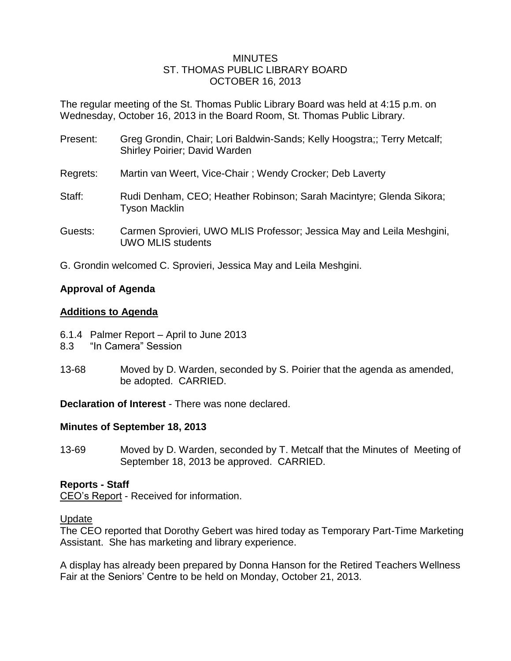#### MINUTES ST. THOMAS PUBLIC LIBRARY BOARD OCTOBER 16, 2013

The regular meeting of the St. Thomas Public Library Board was held at 4:15 p.m. on Wednesday, October 16, 2013 in the Board Room, St. Thomas Public Library.

| Present: | Greg Grondin, Chair; Lori Baldwin-Sands; Kelly Hoogstra;; Terry Metcalf;<br>Shirley Poirier; David Warden |
|----------|-----------------------------------------------------------------------------------------------------------|
| Regrets: | Martin van Weert, Vice-Chair; Wendy Crocker; Deb Laverty                                                  |
| Staff:   | Rudi Denham, CEO; Heather Robinson; Sarah Macintyre; Glenda Sikora;<br><b>Tyson Macklin</b>               |
| Guests:  | Carmen Sprovieri, UWO MLIS Professor; Jessica May and Leila Meshgini,<br><b>UWO MLIS students</b>         |

G. Grondin welcomed C. Sprovieri, Jessica May and Leila Meshgini.

## **Approval of Agenda**

## **Additions to Agenda**

- 6.1.4 Palmer Report April to June 2013
- 8.3 "In Camera" Session
- 13-68 Moved by D. Warden, seconded by S. Poirier that the agenda as amended, be adopted. CARRIED.

**Declaration of Interest** - There was none declared.

## **Minutes of September 18, 2013**

13-69 Moved by D. Warden, seconded by T. Metcalf that the Minutes of Meeting of September 18, 2013 be approved. CARRIED.

## **Reports - Staff**

CEO's Report - Received for information.

#### Update

The CEO reported that Dorothy Gebert was hired today as Temporary Part-Time Marketing Assistant. She has marketing and library experience.

A display has already been prepared by Donna Hanson for the Retired Teachers Wellness Fair at the Seniors' Centre to be held on Monday, October 21, 2013.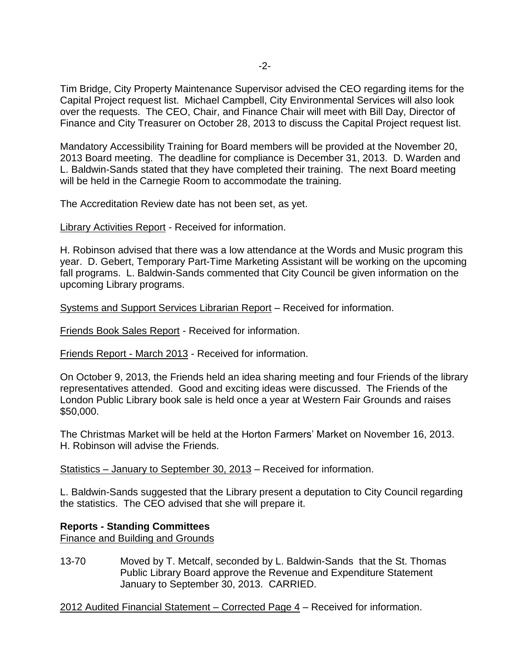Tim Bridge, City Property Maintenance Supervisor advised the CEO regarding items for the Capital Project request list. Michael Campbell, City Environmental Services will also look over the requests. The CEO, Chair, and Finance Chair will meet with Bill Day, Director of Finance and City Treasurer on October 28, 2013 to discuss the Capital Project request list.

Mandatory Accessibility Training for Board members will be provided at the November 20, 2013 Board meeting. The deadline for compliance is December 31, 2013. D. Warden and L. Baldwin-Sands stated that they have completed their training. The next Board meeting will be held in the Carnegie Room to accommodate the training.

The Accreditation Review date has not been set, as yet.

Library Activities Report - Received for information.

H. Robinson advised that there was a low attendance at the Words and Music program this year. D. Gebert, Temporary Part-Time Marketing Assistant will be working on the upcoming fall programs. L. Baldwin-Sands commented that City Council be given information on the upcoming Library programs.

Systems and Support Services Librarian Report – Received for information.

Friends Book Sales Report - Received for information.

Friends Report - March 2013 - Received for information.

On October 9, 2013, the Friends held an idea sharing meeting and four Friends of the library representatives attended. Good and exciting ideas were discussed. The Friends of the London Public Library book sale is held once a year at Western Fair Grounds and raises \$50,000.

The Christmas Market will be held at the Horton Farmers' Market on November 16, 2013. H. Robinson will advise the Friends.

Statistics – January to September 30, 2013 – Received for information.

L. Baldwin-Sands suggested that the Library present a deputation to City Council regarding the statistics. The CEO advised that she will prepare it.

## **Reports - Standing Committees**

Finance and Building and Grounds

13-70 Moved by T. Metcalf, seconded by L. Baldwin-Sands that the St. Thomas Public Library Board approve the Revenue and Expenditure Statement January to September 30, 2013. CARRIED.

2012 Audited Financial Statement – Corrected Page 4 – Received for information.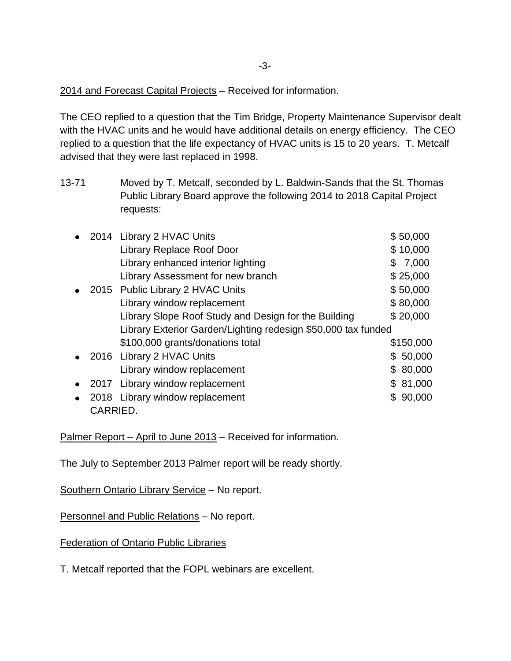2014 and Forecast Capital Projects – Received for information.

The CEO replied to a question that the Tim Bridge, Property Maintenance Supervisor dealt with the HVAC units and he would have additional details on energy efficiency. The CEO replied to a question that the life expectancy of HVAC units is 15 to 20 years. T. Metcalf advised that they were last replaced in 1998.

13-71 Moved by T. Metcalf, seconded by L. Baldwin-Sands that the St. Thomas Public Library Board approve the following 2014 to 2018 Capital Project requests:

|           |          | 2014 Library 2 HVAC Units                                     |    | \$50,000  |  |
|-----------|----------|---------------------------------------------------------------|----|-----------|--|
|           |          | Library Replace Roof Door                                     |    | \$10,000  |  |
|           |          | Library enhanced interior lighting                            |    | \$7,000   |  |
|           |          | Library Assessment for new branch                             |    | \$25,000  |  |
|           |          | 2015 Public Library 2 HVAC Units                              |    | \$50,000  |  |
|           |          | Library window replacement                                    |    | \$80,000  |  |
|           |          | Library Slope Roof Study and Design for the Building          |    | \$20,000  |  |
|           |          | Library Exterior Garden/Lighting redesign \$50,000 tax funded |    |           |  |
|           |          | \$100,000 grants/donations total                              |    | \$150,000 |  |
|           |          | 2016 Library 2 HVAC Units                                     |    | \$50,000  |  |
|           |          | Library window replacement                                    | \$ | 80,000    |  |
| $\bullet$ |          | 2017 Library window replacement                               |    | \$81,000  |  |
|           |          | 2018 Library window replacement                               |    | \$90,000  |  |
|           | CARRIED. |                                                               |    |           |  |

Palmer Report – April to June 2013 – Received for information.

The July to September 2013 Palmer report will be ready shortly.

Southern Ontario Library Service – No report.

Personnel and Public Relations – No report.

Federation of Ontario Public Libraries

T. Metcalf reported that the FOPL webinars are excellent.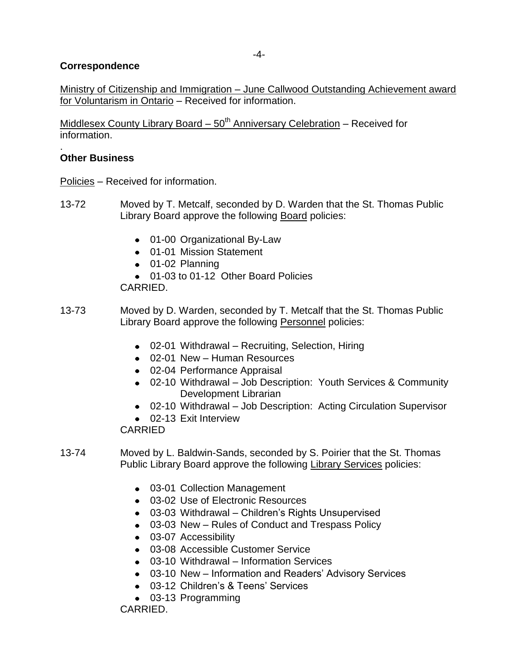## **Correspondence**

Ministry of Citizenship and Immigration – June Callwood Outstanding Achievement award for Voluntarism in Ontario – Received for information.

Middlesex County Library Board  $-50<sup>th</sup>$  Anniversary Celebration – Received for information.

#### . **Other Business**

Policies – Received for information.

- 13-72 Moved by T. Metcalf, seconded by D. Warden that the St. Thomas Public Library Board approve the following Board policies:
	- 01-00 Organizational By-Law
	- 01-01 Mission Statement
	- 01-02 Planning
	- 01-03 to 01-12 Other Board Policies

CARRIED.

- 13-73 Moved by D. Warden, seconded by T. Metcalf that the St. Thomas Public Library Board approve the following Personnel policies:
	- 02-01 Withdrawal Recruiting, Selection, Hiring
	- 02-01 New Human Resources
	- 02-04 Performance Appraisal
	- 02-10 Withdrawal Job Description: Youth Services & Community Development Librarian
	- 02-10 Withdrawal Job Description: Acting Circulation Supervisor
	- 02-13 Exit Interview

CARRIED

- 13-74 Moved by L. Baldwin-Sands, seconded by S. Poirier that the St. Thomas Public Library Board approve the following Library Services policies:
	- 03-01 Collection Management
	- 03-02 Use of Electronic Resources
	- 03-03 Withdrawal Children's Rights Unsupervised
	- 03-03 New Rules of Conduct and Trespass Policy
	- 03-07 Accessibility
	- 03-08 Accessible Customer Service
	- 03-10 Withdrawal Information Services
	- 03-10 New Information and Readers' Advisory Services
	- 03-12 Children's & Teens' Services
	- 03-13 Programming

CARRIED.